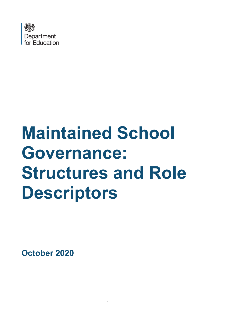

# **Maintained School Governance: Structures and Role Descriptors**

**October 2020**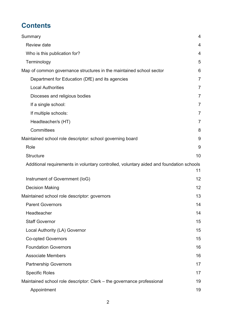# **Contents**

| Summary                                                                                 | $\overline{4}$ |
|-----------------------------------------------------------------------------------------|----------------|
| Review date                                                                             | 4              |
| Who is this publication for?                                                            | $\overline{4}$ |
| Terminology                                                                             | 5              |
| Map of common governance structures in the maintained school sector                     | 6              |
| Department for Education (DfE) and its agencies                                         | $\overline{7}$ |
| <b>Local Authorities</b>                                                                | $\overline{7}$ |
| Dioceses and religious bodies                                                           | $\overline{7}$ |
| If a single school:                                                                     | $\overline{7}$ |
| If multiple schools:                                                                    | $\overline{7}$ |
| Headteacher/s (HT)                                                                      | $\overline{7}$ |
| Committees                                                                              | 8              |
| Maintained school role descriptor: school governing board                               | 9              |
| Role                                                                                    | 9              |
| <b>Structure</b>                                                                        | 10             |
| Additional requirements in voluntary controlled, voluntary aided and foundation schools |                |
|                                                                                         | 11             |
| Instrument of Government (IoG)                                                          | 12             |
| <b>Decision Making</b>                                                                  | 12             |
| Maintained school role descriptor: governors                                            | 13             |
| <b>Parent Governors</b>                                                                 | 14             |
| Headteacher                                                                             | 14             |
| <b>Staff Governor</b>                                                                   | 15             |
| Local Authority (LA) Governor                                                           | 15             |
| <b>Co-opted Governors</b>                                                               | 15             |
| <b>Foundation Governors</b>                                                             | 16             |
| <b>Associate Members</b>                                                                | 16             |
| <b>Partnership Governors</b>                                                            | 17             |
| <b>Specific Roles</b>                                                                   | 17             |
| Maintained school role descriptor: Clerk – the governance professional                  | 19             |
| Appointment                                                                             | 19             |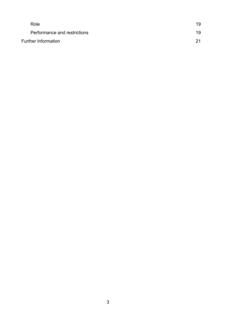|                            | Role                         | 19 |
|----------------------------|------------------------------|----|
|                            | Performance and restrictions | 19 |
| <b>Further Information</b> |                              | 21 |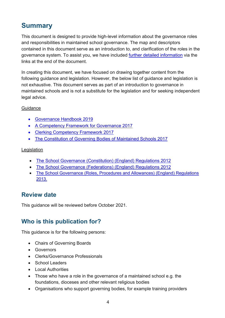# <span id="page-3-0"></span>**Summary**

This document is designed to provide high-level information about the governance roles and responsibilities in maintained school governance. The map and descriptors contained in this document serve as an introduction to, and clarification of the roles in the governance system. To assist you, we have included [further detailed information](#page-20-0) via the links at the end of the document.

In creating this document, we have focused on drawing together content from the following guidance and legislation. However, the below list of guidance and legislation is not exhaustive. This document serves as part of an introduction to governance in maintained schools and is not a substitute for the legislation and for seeking independent legal advice.

#### **Guidance**

- [Governance Handbook 2019](https://assets.publishing.service.gov.uk/government/uploads/system/uploads/attachment_data/file/788234/governance_handbook_2019.pdf)
- A Competency [Framework for Governance 2017](https://assets.publishing.service.gov.uk/government/uploads/system/uploads/attachment_data/file/583733/Competency_framework_for_governance_.pdf)
- [Clerking Competency Framework 2017](https://assets.publishing.service.gov.uk/government/uploads/system/uploads/attachment_data/file/609971/Clerking_competency_framework.pdf)
- The Constitution of Governing [Bodies of Maintained Schools 2017](https://assets.publishing.service.gov.uk/government/uploads/system/uploads/attachment_data/file/640562/The_constitution_of_governing_bodies_of_maintained_schools_2017.pdf)

#### Legislation

- [The School Governance \(Constitution\) \(England\) Regulations 2012](http://www.legislation.gov.uk/uksi/2012/1034/contents/made)
- [The School Governance \(Federations\) \(England\) Regulations 2012](http://www.legislation.gov.uk/uksi/2012/1035/contents/made)
- [The School Governance \(Roles, Procedures and Allowances\) \(England\) Regulations](http://www.legislation.gov.uk/uksi/2013/1624/contents/made)  [2013.](http://www.legislation.gov.uk/uksi/2013/1624/contents/made)

## <span id="page-3-1"></span>**Review date**

This guidance will be reviewed before October 2021.

## <span id="page-3-2"></span>**Who is this publication for?**

This guidance is for the following persons:

- Chairs of Governing Boards
- Governors
- Clerks/Governance Professionals
- School Leaders
- Local Authorities
- Those who have a role in the governance of a maintained school e.g. the foundations, dioceses and other relevant religious bodies
- Organisations who support governing bodies, for example training providers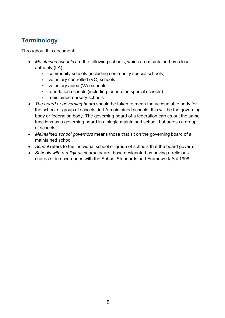## <span id="page-4-0"></span>**Terminology**

Throughout this document:

- *Maintained schools* are the following schools, which are maintained by a local authority (LA):
	- o community schools (including community special schools)
	- o voluntary controlled (VC) schools
	- o voluntary aided (VA) schools
	- o foundation schools (including foundation special schools)
	- o maintained nursery schools
- *The board or governing board* should be taken to mean the accountable body for the school or group of schools: in LA maintained schools, this will be the governing body or federation body. The governing board of a federation carries out the same functions as a governing board in a single maintained school, but across a group of schools
- *Maintained school governors* means those that sit on the governing board of a maintained school.
- *School* refers to the individual school or group of schools that the board govern.
- *Schools with a religious character* are those designated as having a religious character in accordance with the School Standards and Framework Act 1998.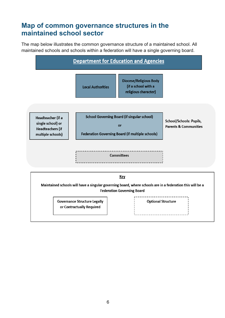# <span id="page-5-0"></span>**Map of common governance structures in the maintained school sector**

The map below illustrates the common governance structure of a maintained school. All maintained schools and schools within a federation will have a single governing board.

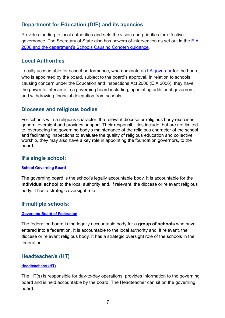#### <span id="page-6-0"></span>**Department for Education (DfE) and its agencies**

Provides funding to local authorities and sets the vision and priorities for effective governance. The Secretary of State also has powers of intervention as set out in the [EIA](http://www.legislation.gov.uk/ukpga/2006/40/contents)  [2006](http://www.legislation.gov.uk/ukpga/2006/40/contents) and the department's [Schools Causing Concern](https://assets.publishing.service.gov.uk/government/uploads/system/uploads/attachment_data/file/831895/Schools_causing_concern.pdf) guidance.

#### <span id="page-6-1"></span>**Local Authorities**

Locally accountable for school performance, who nominate an [LA governor](#page-14-1) for the board, who is appointed by the board, subject to the board's approval. In relation to schools causing concern under the Education and Inspections Act 2006 (EIA 2006), they have the power to intervene in a governing board including; appointing additional governors, and withdrawing financial delegation from schools.

#### <span id="page-6-2"></span>**Dioceses and religious bodies**

For schools with a religious character, the relevant diocese or religious body exercises general oversight and provides support. Their responsibilities include, but are not limited to, overseeing the governing body's maintenance of the religious character of the school and facilitating inspections to evaluate the quality of religious education and collective worship, they may also have a key role in appointing the foundation governors, to the board.

#### <span id="page-6-3"></span>**If a single school:**

#### **[School Governing Board](#page-8-0)**

The governing board is the school's legally accountable body. It is accountable for the **individual school** to the local authority and, if relevant, the diocese or relevant religious body. It has a strategic oversight role.

#### <span id="page-6-4"></span>**If multiple schools:**

#### **[Governing Board of Federation](#page-8-0)**

The federation board is the legally accountable body for a **group of schools** who have entered into a federation. It is accountable to the local authority and, if relevant, the diocese or relevant religious body. It has a strategic oversight role of the schools in the federation.

#### <span id="page-6-5"></span>**Headteacher/s (HT)**

#### **[Headteacher/s](#page-13-1) (HT)**

The HT(s) is responsible for day-to-day operations, provides information to the governing board and is held accountable by the board. The Headteacher can sit on the governing board.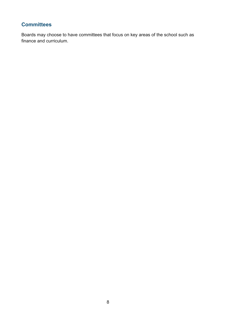### <span id="page-7-0"></span>**Committees**

Boards may choose to have committees that focus on key areas of the school such as finance and curriculum.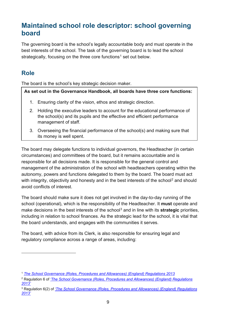# <span id="page-8-0"></span>**Maintained school role descriptor: school governing board**

The governing board is the school's legally accountable body and must operate in the best interests of the school. The task of the governing board is to lead the school strategically, focusing on the three core functions<sup>[1](#page-8-2)</sup> set out below.

## <span id="page-8-1"></span>**Role**

The board is the school's key strategic decision maker.

#### **As set out in the Governance Handbook, all boards have three core functions:**

- 1. Ensuring clarity of the vision, ethos and strategic direction.
- 2. Holding the executive leaders to account for the educational performance of the school(s) and its pupils and the effective and efficient performance management of staff.
- 3. Overseeing the financial performance of the school(s) and making sure that its money is well spent.

The board may delegate functions to individual governors, the Headteacher (in certain circumstances) and committees of the board, but it remains accountable and is responsible for all decisions made. It is responsible for the general control and management of the administration of the school with headteachers operating within the autonomy, powers and functions delegated to them by the board. The board must act with integrity, objectivity and honesty and in the best interests of the school<sup>[2](#page-8-3)</sup> and should avoid conflicts of interest.

The board should make sure it does not get involved in the day-to-day running of the school (operational), which is the responsibility of the Headteacher. It **must** operate and make decisions in the best interests of the school<sup>[3](#page-8-4)</sup> and in line with its **strategic** priorities, including in relation to school finances. As the strategic lead for the school, it is vital that the board understands, and engages with the communities it serves.

The board, with advice from its Clerk, is also responsible for ensuring legal and regulatory compliance across a range of areas, including:

<span id="page-8-2"></span><sup>1</sup> *[The School Governance \(Roles, Procedures and Allowances\) \(England\) Regulations 2013](http://www.legislation.gov.uk/uksi/2013/1624/contents/made)*

<span id="page-8-3"></span><sup>2</sup> Regulation 6 of *['The School Governance \(Roles, Procedures and Allowances\) \(England\) Regulations](http://www.legislation.gov.uk/uksi/2013/1624/regulation/6/made)  [2013'](http://www.legislation.gov.uk/uksi/2013/1624/regulation/6/made)*

<span id="page-8-4"></span><sup>3</sup> Regulation 6(2) of *['The School Governance \(Roles, Procedures and Allowances\) \(England\) Regulations](http://www.legislation.gov.uk/uksi/2013/1624/regulation/6/made)  [2013'](http://www.legislation.gov.uk/uksi/2013/1624/regulation/6/made)*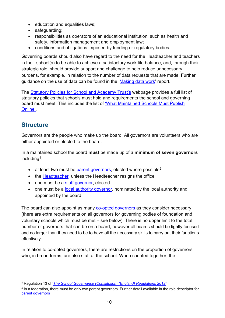- education and equalities laws;
- safeguarding;
- responsibilities as operators of an educational institution, such as health and safety, information management and employment law;
- conditions and obligations imposed by funding or regulatory bodies.

Governing boards should also have regard to the need for the Headteacher and teachers in their school(s) to be able to achieve a satisfactory work life balance, and, through their strategic role, should provide support and challenge to help reduce unnecessary burdens, for example, in relation to the number of data requests that are made. Further guidance on the use of data can be found in the ['Making data work'](https://assets.publishing.service.gov.uk/government/uploads/system/uploads/attachment_data/file/754349/Workload_Advisory_Group-report.pdf) report.

The Statutory Policies for [School and Academy Trust's](https://www.gov.uk/government/publications/statutory-policies-for-schools-and-academy-trusts/statutory-policies-for-schools-and-academy-trusts) webpage provides a full list of statutory policies that schools must hold and requirements the school and governing board must meet. This includes the list of ['What Maintained Schools Must Publish](https://www.gov.uk/guidance/what-maintained-schools-must-publish-online)  [Online'.](https://www.gov.uk/guidance/what-maintained-schools-must-publish-online)

## <span id="page-9-0"></span>**Structure**

Governors are the people who make up the board. All governors are volunteers who are either appointed or elected to the board.

In a maintained school the board **must** be made up of a **minimum of seven governors** including[4](#page-9-1):

- at least two must be [parent governors,](#page-13-0) elected where possible<sup>[5](#page-9-2)</sup>
- the [Headteacher,](#page-13-1) unless the Headteacher resigns the office
- one must be a [staff governor,](#page-14-0) elected
- one must be a [local authority](#page-14-1) governor, nominated by the local authority and appointed by the board

The board can also appoint as many [co-opted governors](#page-14-2) as they consider necessary (there are extra requirements on all governors for governing bodies of foundation and voluntary schools which must be met – see below). There is no upper limit to the total number of governors that can be on a board, however all boards should be tightly focused and no larger than they need to be to have all the necessary skills to carry out their functions effectively.

In relation to co-opted governors, there are restrictions on the proportion of governors who, in broad terms, are also staff at the school. When counted together, the

<span id="page-9-1"></span><sup>4</sup> Regulation 13 of '*[The School Governance \(Constitution\) \(England\) Regulations 2012'](http://www.legislation.gov.uk/uksi/2012/1034/regulation/13/made)*

<span id="page-9-2"></span><sup>5</sup> In a federation, there must be only two parent governors. Further detail available in the role descriptor for [parent governors](#page-13-0)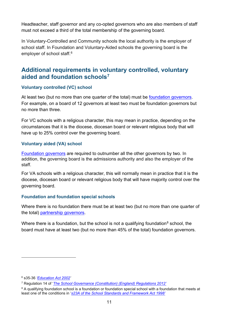Headteacher, staff governor and any co-opted governors who are also members of staff must not exceed a third of the total membership of the governing board.

In Voluntary-Controlled and Community schools the local authority is the employer of school staff. In Foundation and Voluntary-Aided schools the governing board is the employer of school staff.<sup>[6](#page-10-1)</sup>

## <span id="page-10-0"></span>**Additional requirements in voluntary controlled, voluntary aided and foundation schools[7](#page-10-2)**

#### **Voluntary controlled (VC) school**

At least two (but no more than one quarter of the total) must be [foundation](#page-15-0) governors. For example, on a board of 12 governors at least two must be foundation governors but no more than three.

For VC schools with a religious character, this may mean in practice, depending on the circumstances that it is the diocese, diocesan board or relevant religious body that will have up to 25% control over the governing board.

#### **Voluntary aided (VA) school**

[Foundation governors](#page-15-0) are required to outnumber all the other governors by two. In addition, the governing board is the admissions authority and also the employer of the staff.

For VA schools with a religious character, this will normally mean in practice that it is the diocese, diocesan board or relevant religious body that will have majority control over the governing board.

#### **Foundation and foundation special schools**

Where there is no foundation there must be at least two (but no more than one quarter of the total) [partnership governors.](#page-16-0)

Where there is a foundation, but the school is not a qualifying foundation<sup>[8](#page-10-3)</sup> school, the board must have at least two (but no more than 45% of the total) [foundation governors.](#page-15-0)

<span id="page-10-1"></span><sup>6</sup> s35-36 *['Education Act 2002'](http://www.legislation.gov.uk/ukpga/2002/32/contents)* 

<span id="page-10-2"></span><sup>7</sup> Regulation 14 of '*[The School Governance \(Constitution\) \(England\) Regulations 2012'](http://www.legislation.gov.uk/uksi/2012/1034/regulation/14/made)*

<span id="page-10-3"></span><sup>&</sup>lt;sup>8</sup> A qualifying foundation school is a foundation or foundation special school with a foundation that meets at least one of the conditions in '*[s23A of the School Standards and Framework Act 1998'](https://www.legislation.gov.uk/ukpga/1998/31/section/23)*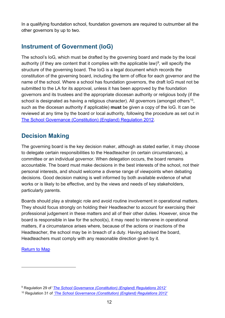In a qualifying foundation school, foundation governors are required to outnumber all the other governors by up to two.

## <span id="page-11-0"></span>**Instrument of Government (IoG)**

The school's IoG*,* which must be drafted by the governing board and made by the local authority (if they are content that it complies with the applicable law)<sup>[9](#page-11-2)</sup>, will specify the structure of the governing board. The IoG is a legal document which records the constitution of the governing board, including the term of office for each governor and the name of the school. Where a school has foundation governors, the draft IoG must not be submitted to the LA for its approval, unless it has been approved by the foundation governors and its trustees and the appropriate diocesan authority or religious body (if the school is designated as having a religious character). All governors (amongst others<sup>10</sup>, such as the diocesan authority if applicable) **must** be given a copy of the IoG. It can be reviewed at any time by the board or local authority, following the procedure as set out in [The School Governance \(Constitution\) \(England\) Regulation 2012.](http://www.legislation.gov.uk/uksi/2012/1034/contents/made)

## <span id="page-11-1"></span>**Decision Making**

The governing board is the key decision maker, although as stated earlier, it may choose to delegate certain responsibilities to the Headteacher (in certain circumstances), a committee or an individual governor. When delegation occurs, the board remains accountable. The board must make decisions in the best interests of the school, not their personal interests, and should welcome a diverse range of viewpoints when debating decisions. Good decision making is well informed by both available evidence of what works or is likely to be effective, and by the views and needs of key stakeholders, particularly parents.

Boards should play a strategic role and avoid routine involvement in operational matters. They should focus strongly on holding their Headteacher to account for exercising their professional judgement in these matters and all of their other duties. However, since the board is responsible in law for the school(s), it may need to intervene in operational matters, if a circumstance arises where, because of the actions or inactions of the Headteacher, the school may be in breach of a duty. Having advised the board, Headteachers must comply with any reasonable direction given by it.

#### [Return to Map](#page-5-0)

<span id="page-11-2"></span><sup>9</sup> Regulation 29 of '*[The School Governance \(Constitution\) \(England\) Regulations 2012'](http://www.legislation.gov.uk/uksi/2012/1034/regulation/13/made)*

<span id="page-11-3"></span><sup>10</sup> Regulation 31 of *['The School Governance \(Constitution\) \(England\) Regulations 2012'](http://www.legislation.gov.uk/uksi/2012/1034/contents/made)*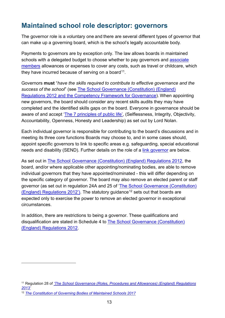# <span id="page-12-0"></span>**Maintained school role descriptor: governors**

The governor role is a voluntary one and there are several different types of governor that can make up a governing board, which is the school's legally accountable body.

Payments to governors are by exception only. The law allows boards in maintained schools with a delegated budget to choose whether to pay governors and [associate](#page-15-1) members allowances or expenses to cover any costs, such as travel or childcare, which they have incurred because of serving on a board<sup>11</sup>.

Governors **must** "*have the skills required to contribute to effective governance and the success of the school*" (see [The School Governance \(Constitution\) \(England\)](http://www.legislation.gov.uk/uksi/2012/1034/schedule/4/made)  [Regulations 2012](http://www.legislation.gov.uk/uksi/2012/1034/schedule/4/made) and the [Competency Framework for Governance\)](https://www.gov.uk/government/publications/governance-handbook). When appointing new governors, the board should consider any recent skills audits they may have completed and the identified skills gaps on the board. Everyone in governance should be aware of and accept ['The 7 principles of public life',](https://www.gov.uk/government/publications/the-7-principles-of-public-life) (Selflessness, Integrity, Objectivity, Accountability, Openness, Honesty and Leadership) as set out by Lord Nolan.

Each individual governor is responsible for contributing to the board's discussions and in meeting its three core functions Boards may choose to, and in some cases should, appoint specific governors to link to specific areas e.g. safeguarding, special educational needs and disability (SEND). Further details on the role of a [link governor](#page-17-0) are below.

As set out in [The School Governance \(Constitution\) \(England\) Regulations 2012,](http://www.legislation.gov.uk/uksi/2012/1034/schedule/4/made) the board, and/or where applicable other appointing/nominating bodies, are able to remove individual governors that they have appointed/nominated - this will differ depending on the specific category of governor. The board may also remove an elected parent or staff governor (as set out in regulation 24A and 25 of ['The School Governance \(Constitution\)](http://www.legislation.gov.uk/uksi/2012/1034/schedule/4/made)  [\(England\) Regulations 2012'](http://www.legislation.gov.uk/uksi/2012/1034/schedule/4/made)). The statutory guidance<sup>[12](#page-12-2)</sup> sets out that boards are expected only to exercise the power to remove an elected governor in exceptional circumstances.

In addition, there are restrictions to being a governor. These qualifications and disqualification are stated in Schedule 4 to [The School Governance \(Constitution\)](http://www.legislation.gov.uk/uksi/2012/1034/schedule/4/made)  [\(England\) Regulations 2012.](http://www.legislation.gov.uk/uksi/2012/1034/schedule/4/made)

<span id="page-12-1"></span><sup>&</sup>lt;sup>11</sup> Regulation 28 of *'The School Governance (Roles, Procedures and Allowances) (England) Regulations [2013'](http://www.legislation.gov.uk/uksi/2013/1624/regulation/6/made)*

<span id="page-12-2"></span><sup>12</sup> *[The Constitution of Governing Bodies of Maintained Schools 2017](https://assets.publishing.service.gov.uk/government/uploads/system/uploads/attachment_data/file/640562/The_constitution_of_governing_bodies_of_maintained_schools_2017.pdf)*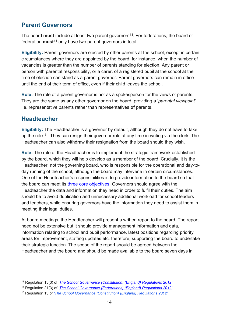## <span id="page-13-0"></span>**Parent Governors**

The board **must** include at least two parent governors<sup>[13](#page-13-2)</sup>. For federations, the board of federation **must[14](#page-13-3)** only have two parent governors in total.

**Eligibility:** Parent governors are elected by other parents at the school, except in certain circumstances where they are appointed by the board, for instance, when the number of vacancies is greater than the number of parents standing for election. Any parent or person with parental responsibility, or a carer, of a registered pupil at the school at the time of election can stand as a parent governor. Parent governors can remain in office until the end of their term of office, even if their child leaves the school.

**Role:** The role of a parent governor is not as a spokesperson for the views of parents. They are the same as any other governor on the board, providing a '*parental viewpoint*' i.e. representative parents rather than representatives **of** parents.

## <span id="page-13-1"></span>**Headteacher**

**Eligibility:** The Headteacher is a governor by default, although they do not have to take up the role<sup>15</sup>. They can resign their governor role at any time in writing via the clerk. The Headteacher can also withdraw their resignation from the board should they wish.

**Role:** The role of the Headteacher is to implement the strategic framework established by the board, which they will help develop as a member of the board. Crucially, it is the Headteacher, not the governing board, who is responsible for the operational and day-today running of the school, although the board may intervene in certain circumstances. One of the Headteacher's responsibilities is to provide information to the board so that the board can meet its [three core objectives.](#page-8-1) Governors should agree with the Headteacher the data and information they need in order to fulfil their duties. The aim should be to avoid duplication and unnecessary additional workload for school leaders and teachers, while ensuring governors have the information they need to assist them in meeting their legal duties.

At board meetings, the Headteacher will present a written report to the board. The report need not be extensive but it should provide management information and data, information relating to school and pupil performance, latest positions regarding priority areas for improvement, staffing updates etc. therefore, supporting the board to undertake their strategic function. The scope of the report should be agreed between the Headteacher and the board and should be made available to the board seven days in

<span id="page-13-2"></span><sup>13</sup> Regulation 13(3) of *['The School Governance \(Constitution\) \(England\) Regulations 2012'](http://www.legislation.gov.uk/uksi/2012/1034/contents/made)*

<span id="page-13-3"></span><sup>14</sup> Regulation 21(3) of *['The School Governance \(Federations\) \(England\) Regulations 2012'](http://www.legislation.gov.uk/uksi/2012/1035/contents/made)*

<span id="page-13-4"></span><sup>15</sup> Regulation 13 of *['The School Governance \(Constitution\) \(England\) Regulations 2012'](http://www.legislation.gov.uk/uksi/2012/1034/contents/made)*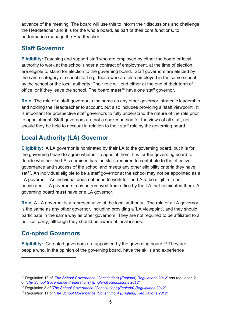advance of the meeting. The board will use this to inform their discussions and challenge the Headteacher and it is for the whole board, as part of their core functions, to performance manage the Headteacher.

## <span id="page-14-0"></span>**Staff Governor**

**Eligibility:** Teaching and support staff who are employed by either the board or local authority to work at the school under a contract of employment, at the time of election, are eligible to stand for election to the governing board. Staff governors are elected by the same category of school staff e.g. those who are also employed in the same school by the school or the local authority. Their role will end either at the end of their term of office, or if they leave the school. The board **must**[16](#page-14-3) have one staff governor.

**Role:** The role of a staff governor is the same as any other governor, strategic leadership and holding the Headteacher to account, but also includes providing a 'staff viewpoint'. It is important for prospective staff governors to fully understand the nature of the role prior to appointment. Staff governors are not a spokesperson for the views of all staff, nor should they be held to account in relation to their staff role by the governing board.

# <span id="page-14-1"></span>**Local Authority (LA) Governor**

**Eligibility:** A LA governor is nominated by their LA to the governing board, but it is for the governing board to agree whether to appoint them. It is for the governing board to decide whether the LA's nominee has the skills required to contribute to the effective governance and success of the school and meets any other eligibility criteria they have  $set<sup>17</sup>$  $set<sup>17</sup>$  $set<sup>17</sup>$ . An individual eligible to be a staff governor at the school may not be appointed as a LA governor. An individual does not need to work for the LA to be eligible to be nominated. LA governors may be removed from office by the LA that nominated them. A governing board **must** have one LA governor.

**Role:** A LA governor is a representative of the local authority. The role of a LA governor is the same as any other governor, including providing a 'LA viewpoint', and they should participate in the same way as other governors. They are not required to be affiliated to a political party, although they should be aware of local issues.

## <span id="page-14-2"></span>**Co-opted Governors**

Eligibility: Co-opted governors are appointed by the governing board.<sup>[18](#page-14-5)</sup> They are people who, in the opinion of the governing board, have the skills and experience

<span id="page-14-3"></span><sup>16</sup> Regulation 13 of '*[The School Governance \(Constitution\) \(England\) Regulations 2012'](http://www.legislation.gov.uk/uksi/2012/1034/regulation/13/made) and* regulation 21 of *['The School Governance \(Federations\) \(England\) Regulations 2012'](http://www.legislation.gov.uk/uksi/2012/1035/contents/made)*

<span id="page-14-4"></span><sup>17</sup> Regulation 8 of *['The School Governance \(Constitution\) \(England\) Regulations 2012'](http://www.legislation.gov.uk/uksi/2012/1034/contents/made)*

<span id="page-14-5"></span><sup>18</sup> Regulation 11 of *['The School Governance \(Constitution\) \(England\) Regulations 2012'](http://www.legislation.gov.uk/uksi/2012/1034/contents/made)*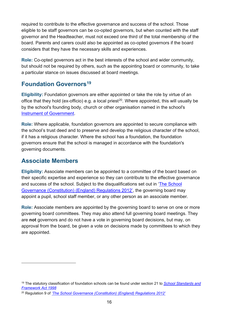required to contribute to the effective governance and success of the school. Those eligible to be staff governors can be co-opted governors, but when counted with the staff governor and the Headteacher, must not exceed one third of the total membership of the board. Parents and carers could also be appointed as co-opted governors if the board considers that they have the necessary skills and experiences.

**Role:** Co-opted governors act in the best interests of the school and wider community, but should not be required by others, such as the appointing board or community, to take a particular stance on issues discussed at board meetings.

## <span id="page-15-0"></span>**Foundation Governors[19](#page-15-2)**

**Eligibility:** Foundation governors are either appointed or take the role by virtue of an office that they hold (ex-officio) e.g. a local priest<sup>20</sup>. Where appointed, this will usually be by the school's founding body, church or other organisation named in the school's [Instrument of Government.](#page-11-0)

**Role:** Where applicable, foundation governors are appointed to secure compliance with the school's trust deed and to preserve and develop the religious character of the school, if it has a religious character. Where the school has a foundation, the foundation governors ensure that the school is managed in accordance with the foundation's governing documents.

## <span id="page-15-1"></span>**Associate Members**

**Eligibility:** Associate members can be appointed to a committee of the board based on their specific expertise and experience so they can contribute to the effective governance and success of the school. Subject to the disqualifications set out in ['The School](http://www.legislation.gov.uk/uksi/2012/1034/contents/made)  [Governance \(Constitution\) \(England\) Regulations 2012'](http://www.legislation.gov.uk/uksi/2012/1034/contents/made), the governing board may appoint a pupil, school staff member, or any other person as an associate member.

**Role:** Associate members are appointed by the governing board to serve on one or more governing board committees. They may also attend full governing board meetings. They are **not** governors and do not have a vote in governing board decisions, but may, on approval from the board, be given a vote on decisions made by committees to which they are appointed.

<span id="page-15-2"></span><sup>19</sup> The statutory classification of foundation schools can be found under section 21 to *[School Standards and](http://www.legislation.gov.uk/ukpga/1998/31/contents)  [Framework Act 1998](http://www.legislation.gov.uk/ukpga/1998/31/contents)*

<span id="page-15-3"></span><sup>20</sup> Regulation 9 of *['The School Governance \(Constitution\) \(England\) Regulations 2012'](http://www.legislation.gov.uk/uksi/2012/1034/contents/made)*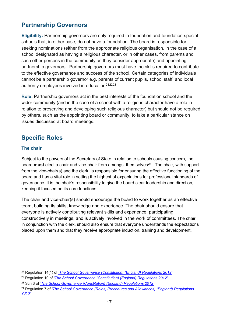## <span id="page-16-0"></span>**Partnership Governors**

**Eligibility:** Partnership governors are only required in foundation and foundation special schools that, in either case, do not have a foundation. The board is responsible for seeking nominations (either from the appropriate religious organisation, in the case of a school designated as having a religious character, or in other cases, from parents and such other persons in the community as they consider appropriate) and appointing partnership governors. Partnership governors must have the skills required to contribute to the effective governance and success of the school. Certain categories of individuals cannot be a partnership governor e.g. parents of current pupils, school staff, and local authority employees involved in education<sup>[21](#page-16-2)[22](#page-16-3)23</sup>.

**Role:** Partnership governors act in the best interests of the foundation school and the wider community (and in the case of a school with a religious character have a role in relation to preserving and developing such religious character) but should not be required by others, such as the appointing board or community, to take a particular stance on issues discussed at board meetings.

## <span id="page-16-1"></span>**Specific Roles**

#### **The chair**

Subject to the powers of the Secretary of State in relation to schools causing concern, the board **must** elect a chair and vice-chair from amongst themselves<sup>[24](#page-16-5)</sup>. The chair, with support from the vice-chair(s) and the clerk, is responsible for ensuring the effective functioning of the board and has a vital role in setting the highest of expectations for professional standards of governance. It is the chair's responsibility to give the board clear leadership and direction, keeping it focused on its core functions.

The chair and vice-chair(s) should encourage the board to work together as an effective team, building its skills, knowledge and experience. The chair should ensure that everyone is actively contributing relevant skills and experience, participating constructively in meetings, and is actively involved in the work of committees. The chair, in conjunction with the clerk, should also ensure that everyone understands the expectations placed upon them and that they receive appropriate induction, training and development.

<span id="page-16-2"></span><sup>21</sup> Regulation 14(1) of *['The School Governance \(Constitution\) \(England\) Regulations 2012'](http://www.legislation.gov.uk/uksi/2012/1034/contents/made)*

<span id="page-16-3"></span><sup>22</sup> Regulation 10 of *['The School Governance \(Constitution\) \(England\) Regulations 2012'](http://www.legislation.gov.uk/uksi/2012/1034/contents/made)*

<span id="page-16-4"></span><sup>23</sup> Sch 3 of *['The School Governance \(Constitution\) \(England\) Regulations 2012'](http://www.legislation.gov.uk/uksi/2012/1034/contents/made)*

<span id="page-16-5"></span><sup>24</sup> Regulation 7 of *['The School Governance \(Roles, Procedures and Allowances\) \(England\) Regulations](http://www.legislation.gov.uk/uksi/2013/1624/regulation/6/made)  [2013'](http://www.legislation.gov.uk/uksi/2013/1624/regulation/6/made)*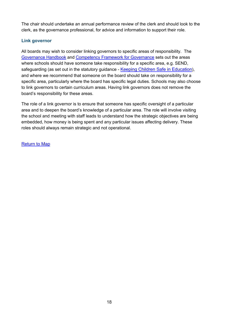The chair should undertake an annual performance review of the clerk and should look to the clerk, as the governance professional, for advice and information to support their role.

#### <span id="page-17-0"></span>**Link governor**

All boards may wish to consider linking governors to specific areas of responsibility. The [Governance Handbook](https://www.gov.uk/government/publications/governance-handbook) and [Competency Framework for Governance](https://www.gov.uk/government/publications/governance-handbook) sets out the areas where schools should have someone take responsibility for a specific area, e.g. SEND, safeguarding (as set out in the statutory guidance - [Keeping Children Safe in Education\)](https://www.gov.uk/government/publications/keeping-children-safe-in-education--2), and where we recommend that someone on the board should take on responsibility for a specific area, particularly where the board has specific legal duties. Schools may also choose to link governors to certain curriculum areas. Having link governors does not remove the board's responsibility for these areas.

The role of a link governor is to ensure that someone has specific oversight of a particular area and to deepen the board's knowledge of a particular area. The role will involve visiting the school and meeting with staff leads to understand how the strategic objectives are being embedded, how money is being spent and any particular issues affecting delivery. These roles should always remain strategic and not operational.

[Return to Map](#page-5-0)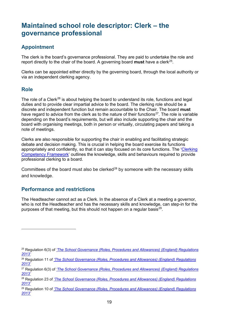# <span id="page-18-0"></span>**Maintained school role descriptor: Clerk – the governance professional**

#### <span id="page-18-1"></span>**Appointment**

The clerk is the board's governance professional. They are paid to undertake the role and report directly to the chair of the board. A governing board **must** have a clerk[25](#page-18-4).

Clerks can be appointed either directly by the governing board, through the local authority or via an independent clerking agency.

#### <span id="page-18-2"></span>**Role**

The role of a Clerk<sup>[26](#page-18-5)</sup> is about helping the board to understand its role, functions and legal duties and to provide clear impartial advice to the board. The clerking role should be a discrete and independent function but remain accountable to the Chair. The board **must** have regard to advice from the clerk as to the nature of their functions<sup>27</sup>. The role is variable depending on the board's requirements, but will also include supporting the chair and the board with organising meetings, both in person or virtually, circulating papers and taking a note of meetings.

Clerks are also responsible for supporting the chair in enabling and facilitating strategic debate and decision making. This is crucial in helping the board exercise its functions appropriately and confidently, so that it can stay focused on its core functions. The ['Clerking](https://assets.publishing.service.gov.uk/government/uploads/system/uploads/attachment_data/file/609971/Clerking_competency_framework.pdf)  [Competency Framework'](https://assets.publishing.service.gov.uk/government/uploads/system/uploads/attachment_data/file/609971/Clerking_competency_framework.pdf) outlines the knowledge, skills and behaviours required to provide professional clerking to a board.

Committees of the board must also be clerked<sup>[28](#page-18-7)</sup> by someone with the necessary skills and knowledge.

#### <span id="page-18-3"></span>**Performance and restrictions**

The Headteacher cannot act as a Clerk. In the absence of a Clerk at a meeting a governor, who is not the Headteacher and has the necessary skills and knowledge, can step-in for the purposes of that meeting, but this should not happen on a regular basis<sup>29</sup>.

<span id="page-18-4"></span><sup>25</sup> Regulation 6(3) of *['The School Governance \(Roles, Procedures and Allowances\) \(England\) Regulations](http://www.legislation.gov.uk/uksi/2013/1624/regulation/6/made)  [2013'](http://www.legislation.gov.uk/uksi/2013/1624/regulation/6/made)*

<span id="page-18-5"></span><sup>26</sup> Regulation 11 of *['The School Governance \(Roles, Procedures and Allowances\) \(England\) Regulations](http://www.legislation.gov.uk/uksi/2013/1624/regulation/6/made)  [2013'](http://www.legislation.gov.uk/uksi/2013/1624/regulation/6/made)*

<span id="page-18-6"></span><sup>27</sup> Regulation 6(3) of *['The School Governance \(Roles, Procedures and Allowances\) \(England\) Regulations](http://www.legislation.gov.uk/uksi/2013/1624/regulation/6/made)  [2013'](http://www.legislation.gov.uk/uksi/2013/1624/regulation/6/made)*

<span id="page-18-7"></span><sup>28</sup> Regulation 23 of *['The School Governance \(Roles, Procedures and Allowances\) \(England\) Regulations](http://www.legislation.gov.uk/uksi/2013/1624/regulation/6/made)  [2013'](http://www.legislation.gov.uk/uksi/2013/1624/regulation/6/made)*

<span id="page-18-8"></span><sup>29</sup> Regulation 10 of *['The School Governance \(Roles, Procedures and Allowances\) \(England\) Regulations](http://www.legislation.gov.uk/uksi/2013/1624/regulation/6/made)  [2013'](http://www.legislation.gov.uk/uksi/2013/1624/regulation/6/made)*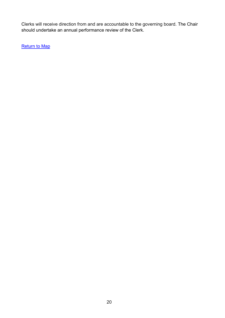Clerks will receive direction from and are accountable to the governing board. The Chair should undertake an annual performance review of the Clerk.

**[Return to Map](#page-5-0)**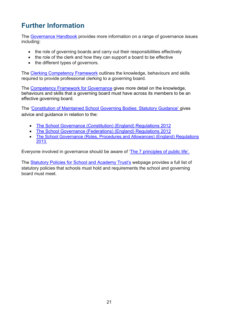# <span id="page-20-0"></span>**Further Information**

The [Governance Handbook](https://www.gov.uk/government/publications/governance-handbook) provides more information on a range of governance issues including:

- the role of governing boards and carry out their responsibilities effectively
- the role of the clerk and how they can support a board to be effective
- the different types of governors.

The [Clerking Competency Framework](https://assets.publishing.service.gov.uk/government/uploads/system/uploads/attachment_data/file/609971/Clerking_competency_framework.pdf) outlines the knowledge, behaviours and skills required to provide professional clerking to a governing board.

The [Competency Framework for Governance](https://www.gov.uk/government/publications/governance-handbook) gives more detail on the knowledge, behaviours and skills that a governing board must have across its members to be an effective governing board.

The ['Constitution of Maintained School Governing Bodies: Statutory Guidance'](https://assets.publishing.service.gov.uk/government/uploads/system/uploads/attachment_data/file/640562/The_constitution_of_governing_bodies_of_maintained_schools_2017.pdf) gives advice and guidance in relation to the:

- [The School Governance \(Constitution\) \(England\) Regulations 2012](http://www.legislation.gov.uk/uksi/2012/1034/contents/made)
- [The School Governance \(Federations\) \(England\) Regulations 2012](http://www.legislation.gov.uk/uksi/2012/1035/contents/made)
- [The School Governance \(Roles, Procedures and Allowances\) \(England\) Regulations](http://www.legislation.gov.uk/uksi/2013/1624/contents/made)  [2013.](http://www.legislation.gov.uk/uksi/2013/1624/contents/made)

Everyone involved in governance should be aware of ['The 7 principles of public life'.](https://www.gov.uk/government/publications/the-7-principles-of-public-life)

The [Statutory Policies for School and Academy Trust's](https://www.gov.uk/government/publications/statutory-policies-for-schools-and-academy-trusts/statutory-policies-for-schools-and-academy-trusts) webpage provides a full list of statutory policies that schools must hold and requirements the school and governing board must meet.